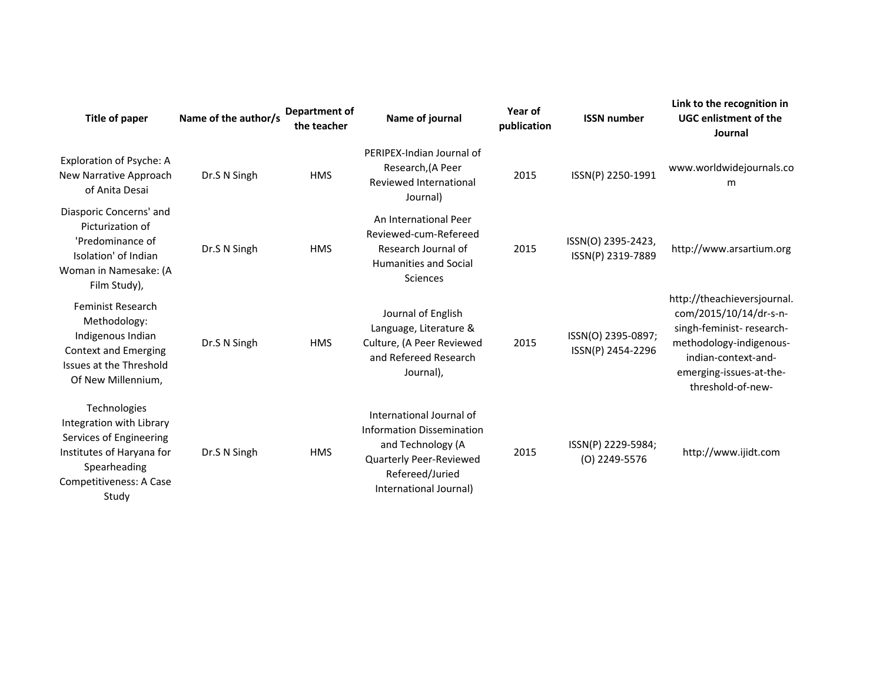| Title of paper                                                                                                                                       | Name of the author/s | <b>Department of</b><br>the teacher | Name of journal                                                                                                                                           | Year of<br>publication | <b>ISSN number</b>                      | Link to the recognition in<br><b>UGC enlistment of the</b><br>Journal                                                                                                               |
|------------------------------------------------------------------------------------------------------------------------------------------------------|----------------------|-------------------------------------|-----------------------------------------------------------------------------------------------------------------------------------------------------------|------------------------|-----------------------------------------|-------------------------------------------------------------------------------------------------------------------------------------------------------------------------------------|
| Exploration of Psyche: A<br>New Narrative Approach<br>of Anita Desai                                                                                 | Dr.S N Singh         | <b>HMS</b>                          | PERIPEX-Indian Journal of<br>Research, (A Peer<br>Reviewed International<br>Journal)                                                                      | 2015                   | ISSN(P) 2250-1991                       | www.worldwidejournals.co<br>m                                                                                                                                                       |
| Diasporic Concerns' and<br>Picturization of<br>'Predominance of<br>Isolation' of Indian<br>Woman in Namesake: (A<br>Film Study),                     | Dr.S N Singh         | <b>HMS</b>                          | An International Peer<br>Reviewed-cum-Refereed<br>Research Journal of<br><b>Humanities and Social</b><br>Sciences                                         | 2015                   | ISSN(O) 2395-2423,<br>ISSN(P) 2319-7889 | http://www.arsartium.org                                                                                                                                                            |
| <b>Feminist Research</b><br>Methodology:<br>Indigenous Indian<br><b>Context and Emerging</b><br>Issues at the Threshold<br>Of New Millennium,        | Dr.S N Singh         | <b>HMS</b>                          | Journal of English<br>Language, Literature &<br>Culture, (A Peer Reviewed<br>and Refereed Research<br>Journal),                                           | 2015                   | ISSN(O) 2395-0897;<br>ISSN(P) 2454-2296 | http://theachieversjournal.<br>com/2015/10/14/dr-s-n-<br>singh-feminist-research-<br>methodology-indigenous-<br>indian-context-and-<br>emerging-issues-at-the-<br>threshold-of-new- |
| Technologies<br>Integration with Library<br>Services of Engineering<br>Institutes of Haryana for<br>Spearheading<br>Competitiveness: A Case<br>Study | Dr.S N Singh         | <b>HMS</b>                          | International Journal of<br><b>Information Dissemination</b><br>and Technology (A<br>Quarterly Peer-Reviewed<br>Refereed/Juried<br>International Journal) | 2015                   | ISSN(P) 2229-5984;<br>(O) 2249-5576     | http://www.ijidt.com                                                                                                                                                                |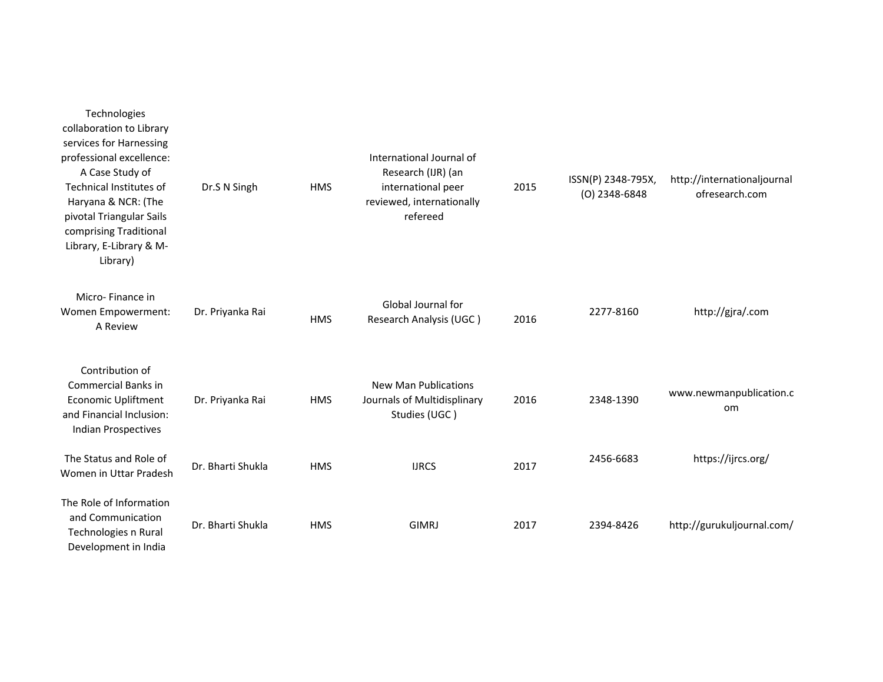| Technologies<br>collaboration to Library<br>services for Harnessing<br>professional excellence:<br>A Case Study of<br>Technical Institutes of<br>Haryana & NCR: (The<br>pivotal Triangular Sails<br>comprising Traditional<br>Library, E-Library & M-<br>Library) | Dr.S N Singh      | <b>HMS</b> | International Journal of<br>Research (IJR) (an<br>international peer<br>reviewed, internationally<br>refereed | 2015 | ISSN(P) 2348-795X,<br>(O) 2348-6848 | http://internationaljournal<br>ofresearch.com |
|-------------------------------------------------------------------------------------------------------------------------------------------------------------------------------------------------------------------------------------------------------------------|-------------------|------------|---------------------------------------------------------------------------------------------------------------|------|-------------------------------------|-----------------------------------------------|
| Micro-Finance in<br>Women Empowerment:<br>A Review                                                                                                                                                                                                                | Dr. Priyanka Rai  | <b>HMS</b> | Global Journal for<br>Research Analysis (UGC)                                                                 | 2016 | 2277-8160                           | http://gjra/.com                              |
| Contribution of<br><b>Commercial Banks in</b><br><b>Economic Upliftment</b><br>and Financial Inclusion:<br><b>Indian Prospectives</b>                                                                                                                             | Dr. Priyanka Rai  | <b>HMS</b> | <b>New Man Publications</b><br>Journals of Multidisplinary<br>Studies (UGC)                                   | 2016 | 2348-1390                           | www.newmanpublication.c<br>om                 |
| The Status and Role of<br>Women in Uttar Pradesh                                                                                                                                                                                                                  | Dr. Bharti Shukla | <b>HMS</b> | <b>IJRCS</b>                                                                                                  | 2017 | 2456-6683                           | https://ijrcs.org/                            |
| The Role of Information<br>and Communication<br>Technologies n Rural<br>Development in India                                                                                                                                                                      | Dr. Bharti Shukla | <b>HMS</b> | <b>GIMRJ</b>                                                                                                  | 2017 | 2394-8426                           | http://gurukuljournal.com/                    |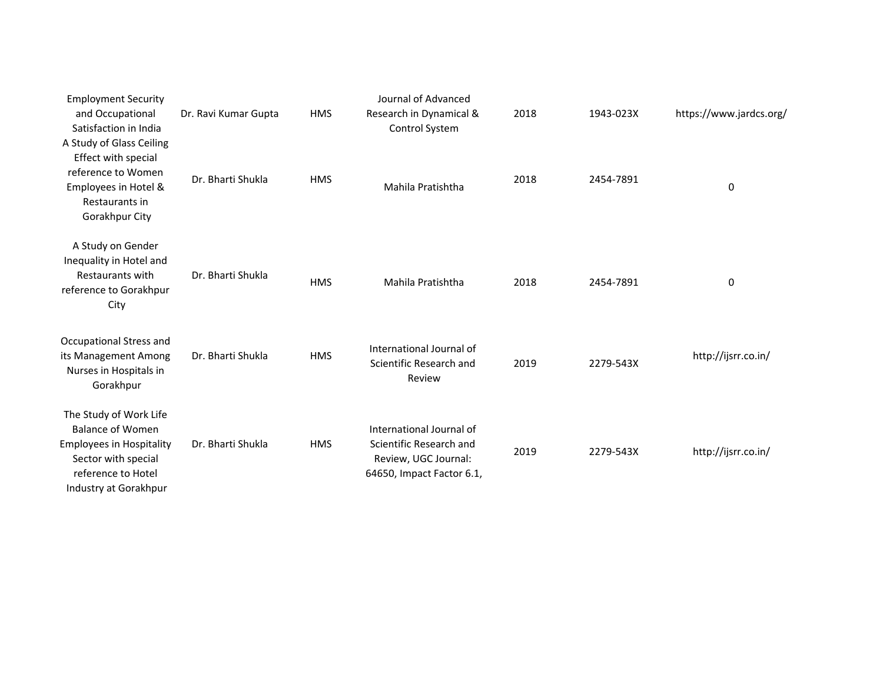| <b>Employment Security</b>                                                                                                                                 |                      |            | Journal of Advanced                                                                                      |      |           |                         |
|------------------------------------------------------------------------------------------------------------------------------------------------------------|----------------------|------------|----------------------------------------------------------------------------------------------------------|------|-----------|-------------------------|
| and Occupational<br>Satisfaction in India                                                                                                                  | Dr. Ravi Kumar Gupta | <b>HMS</b> | Research in Dynamical &<br>Control System                                                                | 2018 | 1943-023X | https://www.jardcs.org/ |
| A Study of Glass Ceiling<br>Effect with special<br>reference to Women<br>Employees in Hotel &<br>Restaurants in<br>Gorakhpur City                          | Dr. Bharti Shukla    | <b>HMS</b> | Mahila Pratishtha                                                                                        | 2018 | 2454-7891 | 0                       |
| A Study on Gender<br>Inequality in Hotel and<br><b>Restaurants with</b><br>reference to Gorakhpur<br>City                                                  | Dr. Bharti Shukla    | <b>HMS</b> | Mahila Pratishtha                                                                                        | 2018 | 2454-7891 | 0                       |
| Occupational Stress and<br>its Management Among<br>Nurses in Hospitals in<br>Gorakhpur                                                                     | Dr. Bharti Shukla    | <b>HMS</b> | International Journal of<br>Scientific Research and<br>Review                                            | 2019 | 2279-543X | http://ijsrr.co.in/     |
| The Study of Work Life<br><b>Balance of Women</b><br><b>Employees in Hospitality</b><br>Sector with special<br>reference to Hotel<br>Industry at Gorakhpur | Dr. Bharti Shukla    | <b>HMS</b> | International Journal of<br>Scientific Research and<br>Review, UGC Journal:<br>64650, Impact Factor 6.1, | 2019 | 2279-543X | http://ijsrr.co.in/     |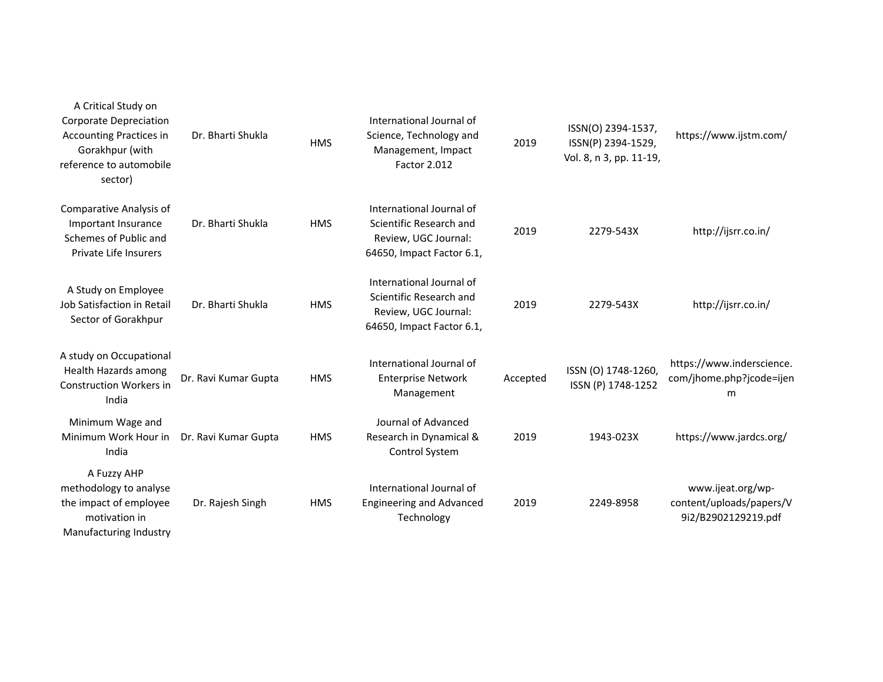| A Critical Study on<br><b>Corporate Depreciation</b><br><b>Accounting Practices in</b><br>Gorakhpur (with<br>reference to automobile<br>sector) | Dr. Bharti Shukla    | <b>HMS</b> | International Journal of<br>Science, Technology and<br>Management, Impact<br>Factor 2.012                | 2019     | ISSN(O) 2394-1537,<br>ISSN(P) 2394-1529,<br>Vol. 8, n 3, pp. 11-19, | https://www.ijstm.com/                                               |
|-------------------------------------------------------------------------------------------------------------------------------------------------|----------------------|------------|----------------------------------------------------------------------------------------------------------|----------|---------------------------------------------------------------------|----------------------------------------------------------------------|
| <b>Comparative Analysis of</b><br>Important Insurance<br>Schemes of Public and<br>Private Life Insurers                                         | Dr. Bharti Shukla    | <b>HMS</b> | International Journal of<br>Scientific Research and<br>Review, UGC Journal:<br>64650, Impact Factor 6.1, | 2019     | 2279-543X                                                           | http://ijsrr.co.in/                                                  |
| A Study on Employee<br>Job Satisfaction in Retail<br>Sector of Gorakhpur                                                                        | Dr. Bharti Shukla    | <b>HMS</b> | International Journal of<br>Scientific Research and<br>Review, UGC Journal:<br>64650, Impact Factor 6.1, | 2019     | 2279-543X                                                           | http://ijsrr.co.in/                                                  |
| A study on Occupational<br><b>Health Hazards among</b><br><b>Construction Workers in</b><br>India                                               | Dr. Ravi Kumar Gupta | <b>HMS</b> | International Journal of<br><b>Enterprise Network</b><br>Management                                      | Accepted | ISSN (O) 1748-1260,<br>ISSN (P) 1748-1252                           | https://www.inderscience.<br>com/jhome.php?jcode=ijen<br>m           |
| Minimum Wage and<br>Minimum Work Hour in<br>India                                                                                               | Dr. Ravi Kumar Gupta | <b>HMS</b> | Journal of Advanced<br>Research in Dynamical &<br>Control System                                         | 2019     | 1943-023X                                                           | https://www.jardcs.org/                                              |
| A Fuzzy AHP<br>methodology to analyse<br>the impact of employee<br>motivation in<br>Manufacturing Industry                                      | Dr. Rajesh Singh     | <b>HMS</b> | International Journal of<br><b>Engineering and Advanced</b><br>Technology                                | 2019     | 2249-8958                                                           | www.ijeat.org/wp-<br>content/uploads/papers/V<br>9i2/B2902129219.pdf |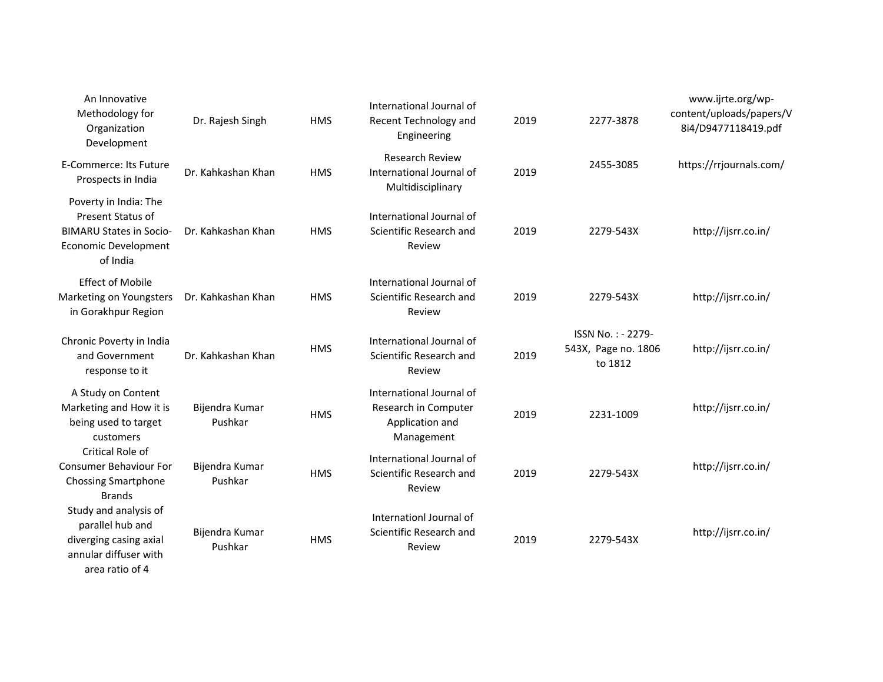| An Innovative<br>Methodology for<br>Organization<br>Development                                                         | Dr. Rajesh Singh          | <b>HMS</b> | International Journal of<br>Recent Technology and<br>Engineering                  | 2019 | 2277-3878                                           | www.ijrte.org/wp-<br>content/uploads/papers/V<br>8i4/D9477118419.pdf |
|-------------------------------------------------------------------------------------------------------------------------|---------------------------|------------|-----------------------------------------------------------------------------------|------|-----------------------------------------------------|----------------------------------------------------------------------|
| <b>E-Commerce: Its Future</b><br>Prospects in India                                                                     | Dr. Kahkashan Khan        | <b>HMS</b> | <b>Research Review</b><br>International Journal of<br>Multidisciplinary           | 2019 | 2455-3085                                           | https://rrjournals.com/                                              |
| Poverty in India: The<br>Present Status of<br><b>BIMARU States in Socio-</b><br><b>Economic Development</b><br>of India | Dr. Kahkashan Khan        | <b>HMS</b> | International Journal of<br>Scientific Research and<br>Review                     | 2019 | 2279-543X                                           | http://ijsrr.co.in/                                                  |
| <b>Effect of Mobile</b><br>Marketing on Youngsters<br>in Gorakhpur Region                                               | Dr. Kahkashan Khan        | <b>HMS</b> | International Journal of<br>Scientific Research and<br>Review                     | 2019 | 2279-543X                                           | http://ijsrr.co.in/                                                  |
| Chronic Poverty in India<br>and Government<br>response to it                                                            | Dr. Kahkashan Khan        | <b>HMS</b> | International Journal of<br>Scientific Research and<br>Review                     | 2019 | ISSN No.: - 2279-<br>543X, Page no. 1806<br>to 1812 | http://ijsrr.co.in/                                                  |
| A Study on Content<br>Marketing and How it is<br>being used to target<br>customers                                      | Bijendra Kumar<br>Pushkar | <b>HMS</b> | International Journal of<br>Research in Computer<br>Application and<br>Management | 2019 | 2231-1009                                           | http://ijsrr.co.in/                                                  |
| Critical Role of<br><b>Consumer Behaviour For</b><br><b>Chossing Smartphone</b><br><b>Brands</b>                        | Bijendra Kumar<br>Pushkar | <b>HMS</b> | International Journal of<br>Scientific Research and<br>Review                     | 2019 | 2279-543X                                           | http://ijsrr.co.in/                                                  |
| Study and analysis of<br>parallel hub and<br>diverging casing axial<br>annular diffuser with                            | Bijendra Kumar<br>Pushkar | <b>HMS</b> | Internationl Journal of<br>Scientific Research and<br>Review                      | 2019 | 2279-543X                                           | http://ijsrr.co.in/                                                  |

area ratio of 4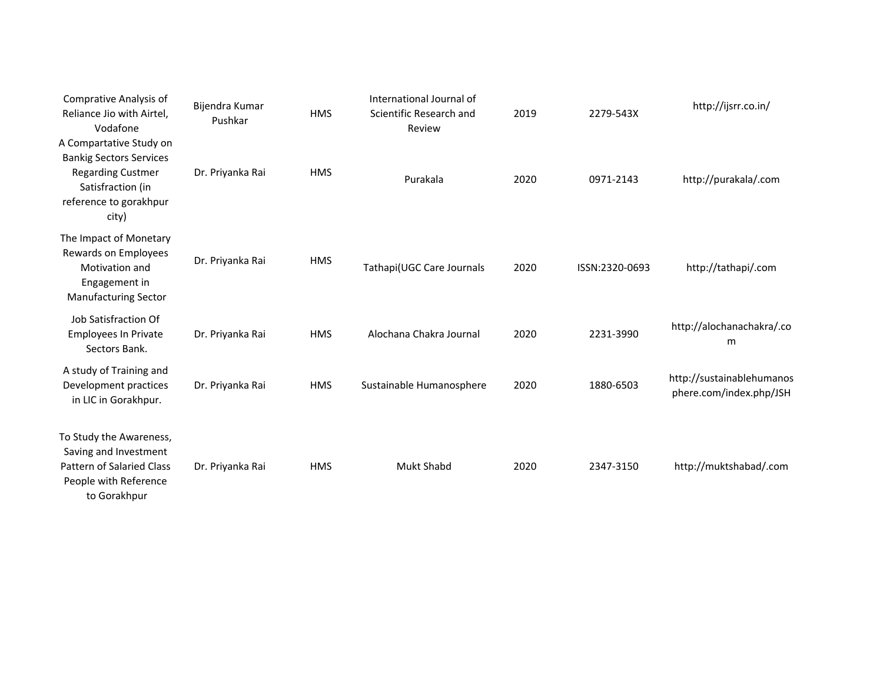| Comprative Analysis of<br>Reliance Jio with Airtel,<br>Vodafone                                                                               | Bijendra Kumar<br>Pushkar | <b>HMS</b> | International Journal of<br>Scientific Research and<br>Review | 2019 | 2279-543X      | http://ijsrr.co.in/                                  |
|-----------------------------------------------------------------------------------------------------------------------------------------------|---------------------------|------------|---------------------------------------------------------------|------|----------------|------------------------------------------------------|
| A Compartative Study on<br><b>Bankig Sectors Services</b><br><b>Regarding Custmer</b><br>Satisfraction (in<br>reference to gorakhpur<br>city) | Dr. Priyanka Rai          | <b>HMS</b> | Purakala                                                      | 2020 | 0971-2143      | http://purakala/.com                                 |
| The Impact of Monetary<br>Rewards on Employees<br>Motivation and<br>Engagement in<br><b>Manufacturing Sector</b>                              | Dr. Priyanka Rai          | <b>HMS</b> | Tathapi(UGC Care Journals                                     | 2020 | ISSN:2320-0693 | http://tathapi/.com                                  |
| Job Satisfraction Of<br>Employees In Private<br>Sectors Bank.                                                                                 | Dr. Priyanka Rai          | <b>HMS</b> | Alochana Chakra Journal                                       | 2020 | 2231-3990      | http://alochanachakra/.co<br>m                       |
| A study of Training and<br>Development practices<br>in LIC in Gorakhpur.                                                                      | Dr. Priyanka Rai          | <b>HMS</b> | Sustainable Humanosphere                                      | 2020 | 1880-6503      | http://sustainablehumanos<br>phere.com/index.php/JSH |
| To Study the Awareness,<br>Saving and Investment<br><b>Pattern of Salaried Class</b><br>People with Reference<br>to Gorakhpur                 | Dr. Priyanka Rai          | <b>HMS</b> | Mukt Shabd                                                    | 2020 | 2347-3150      | http://muktshabad/.com                               |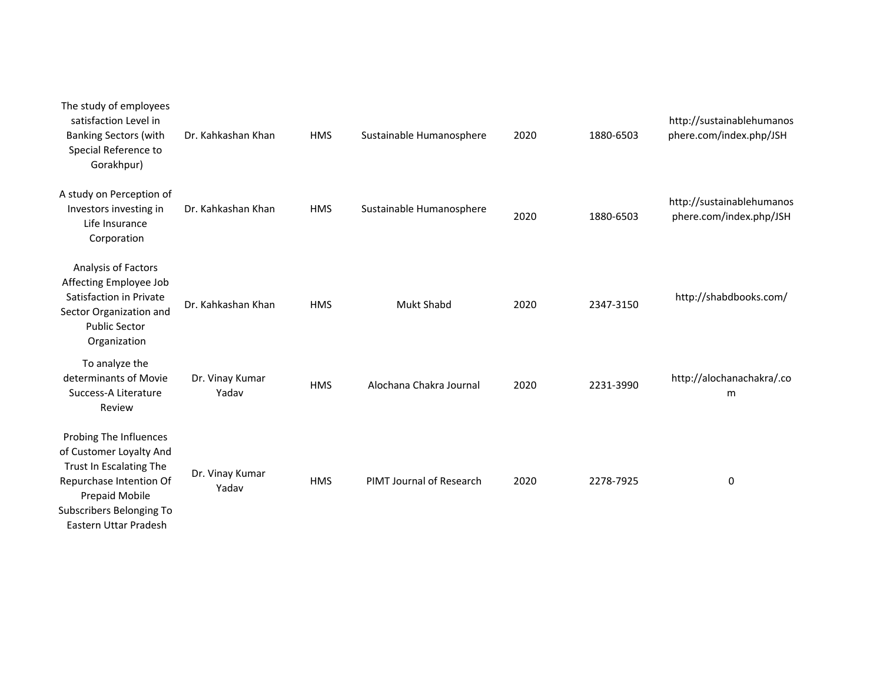| The study of employees<br>satisfaction Level in<br><b>Banking Sectors (with</b><br>Special Reference to<br>Gorakhpur)                                                          | Dr. Kahkashan Khan       | <b>HMS</b> | Sustainable Humanosphere | 2020 | 1880-6503 | http://sustainablehumanos<br>phere.com/index.php/JSH |
|--------------------------------------------------------------------------------------------------------------------------------------------------------------------------------|--------------------------|------------|--------------------------|------|-----------|------------------------------------------------------|
| A study on Perception of<br>Investors investing in<br>Life Insurance<br>Corporation                                                                                            | Dr. Kahkashan Khan       | <b>HMS</b> | Sustainable Humanosphere | 2020 | 1880-6503 | http://sustainablehumanos<br>phere.com/index.php/JSH |
| Analysis of Factors<br>Affecting Employee Job<br>Satisfaction in Private<br>Sector Organization and<br><b>Public Sector</b><br>Organization                                    | Dr. Kahkashan Khan       | <b>HMS</b> | <b>Mukt Shabd</b>        | 2020 | 2347-3150 | http://shabdbooks.com/                               |
| To analyze the<br>determinants of Movie<br>Success-A Literature<br>Review                                                                                                      | Dr. Vinay Kumar<br>Yadav | <b>HMS</b> | Alochana Chakra Journal  | 2020 | 2231-3990 | http://alochanachakra/.co<br>m                       |
| Probing The Influences<br>of Customer Loyalty And<br>Trust In Escalating The<br>Repurchase Intention Of<br>Prepaid Mobile<br>Subscribers Belonging To<br>Eastern Uttar Pradesh | Dr. Vinay Kumar<br>Yadav | <b>HMS</b> | PIMT Journal of Research | 2020 | 2278-7925 | 0                                                    |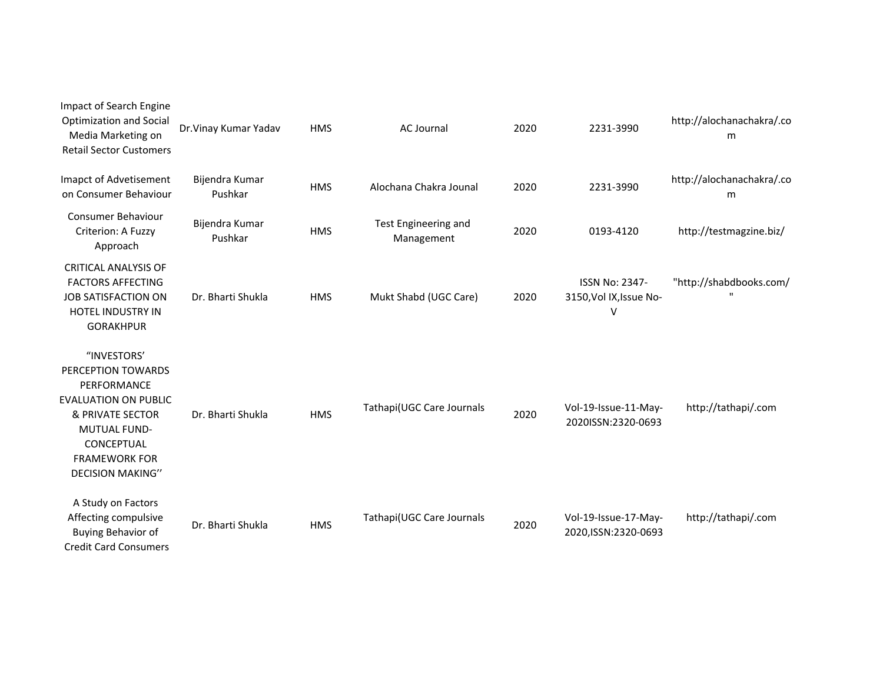| Impact of Search Engine<br><b>Optimization and Social</b><br>Media Marketing on<br><b>Retail Sector Customers</b>                                                                           | Dr. Vinay Kumar Yadav     | <b>HMS</b> | <b>AC Journal</b>                  | 2020 | 2231-3990                                             | http://alochanachakra/.co<br>m          |
|---------------------------------------------------------------------------------------------------------------------------------------------------------------------------------------------|---------------------------|------------|------------------------------------|------|-------------------------------------------------------|-----------------------------------------|
| Imapct of Advetisement<br>on Consumer Behaviour                                                                                                                                             | Bijendra Kumar<br>Pushkar | <b>HMS</b> | Alochana Chakra Jounal             | 2020 | 2231-3990                                             | http://alochanachakra/.co<br>m          |
| <b>Consumer Behaviour</b><br>Criterion: A Fuzzy<br>Approach                                                                                                                                 | Bijendra Kumar<br>Pushkar | <b>HMS</b> | Test Engineering and<br>Management | 2020 | 0193-4120                                             | http://testmagzine.biz/                 |
| <b>CRITICAL ANALYSIS OF</b><br><b>FACTORS AFFECTING</b><br><b>JOB SATISFACTION ON</b><br><b>HOTEL INDUSTRY IN</b><br><b>GORAKHPUR</b>                                                       | Dr. Bharti Shukla         | <b>HMS</b> | Mukt Shabd (UGC Care)              | 2020 | <b>ISSN No: 2347-</b><br>3150, Vol IX, Issue No-<br>V | "http://shabdbooks.com/<br>$\mathbf{H}$ |
| "INVESTORS"<br>PERCEPTION TOWARDS<br>PERFORMANCE<br><b>EVALUATION ON PUBLIC</b><br>& PRIVATE SECTOR<br><b>MUTUAL FUND-</b><br>CONCEPTUAL<br><b>FRAMEWORK FOR</b><br><b>DECISION MAKING"</b> | Dr. Bharti Shukla         | <b>HMS</b> | Tathapi(UGC Care Journals          | 2020 | Vol-19-Issue-11-May-<br>2020ISSN:2320-0693            | http://tathapi/.com                     |
| A Study on Factors<br>Affecting compulsive<br>Buying Behavior of<br><b>Credit Card Consumers</b>                                                                                            | Dr. Bharti Shukla         | <b>HMS</b> | Tathapi(UGC Care Journals          | 2020 | Vol-19-Issue-17-May-<br>2020, ISSN: 2320-0693         | http://tathapi/.com                     |